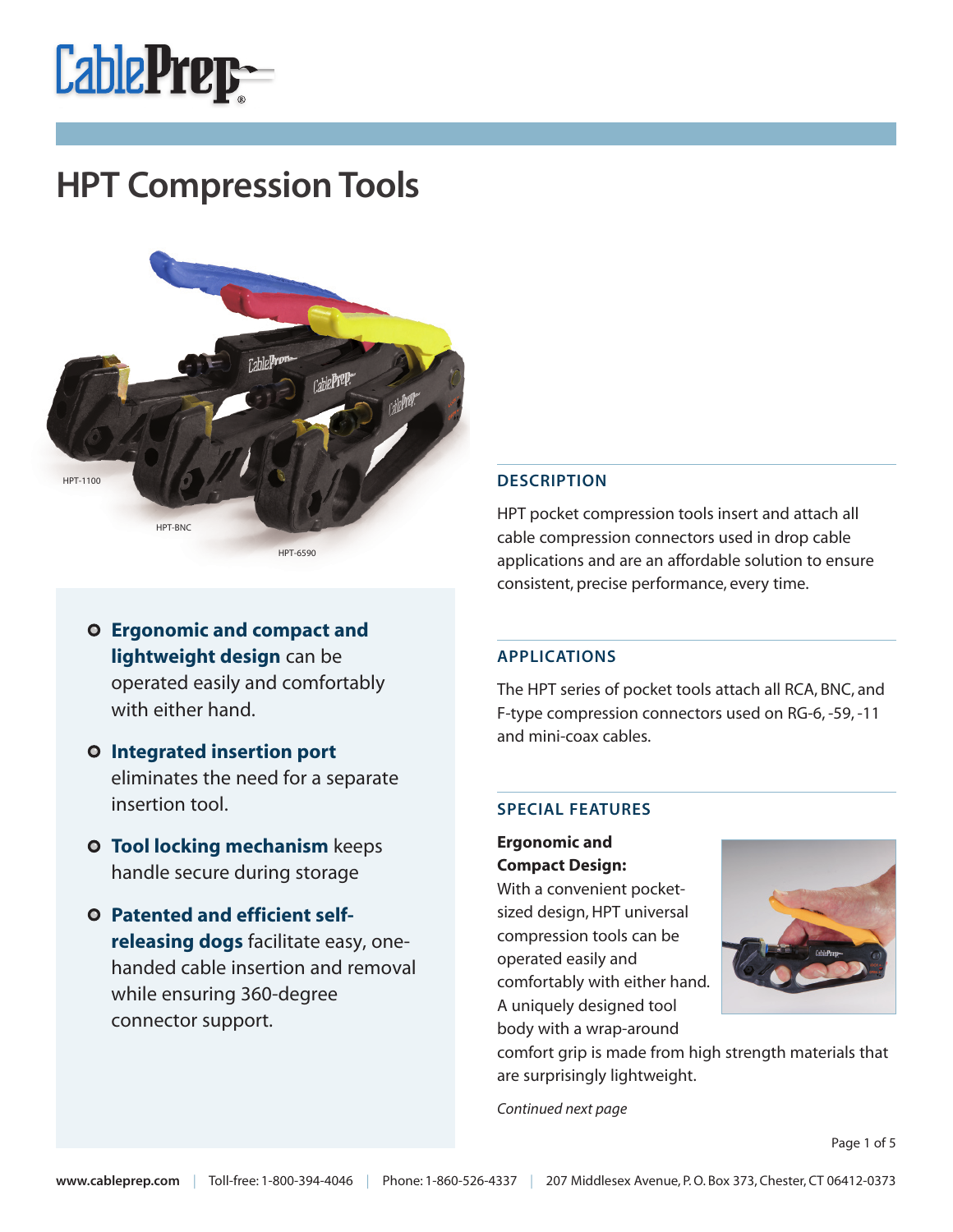



- **Ergonomic and compact and lightweight design** can be operated easily and comfortably with either hand.
- **Integrated insertion port**  eliminates the need for a separate insertion tool.
- **O** Tool locking mechanism keeps handle secure during storage
- **Patented and efficient selfreleasing dogs** facilitate easy, onehanded cable insertion and removal while ensuring 360-degree connector support.

### **DESCRIPTION**

HPT pocket compression tools insert and attach all cable compression connectors used in drop cable applications and are an affordable solution to ensure consistent, precise performance, every time.

#### **APPLICATIONS**

The HPT series of pocket tools attach all RCA, BNC, and F-type compression connectors used on RG-6, -59, -11 and mini-coax cables.

#### **SPECIAL FEATURES**

**Ergonomic and Compact Design:**

With a convenient pocketsized design, HPT universal compression tools can be operated easily and comfortably with either hand. A uniquely designed tool body with a wrap-around



comfort grip is made from high strength materials that are surprisingly lightweight.

Continued next page

Page 1 of 5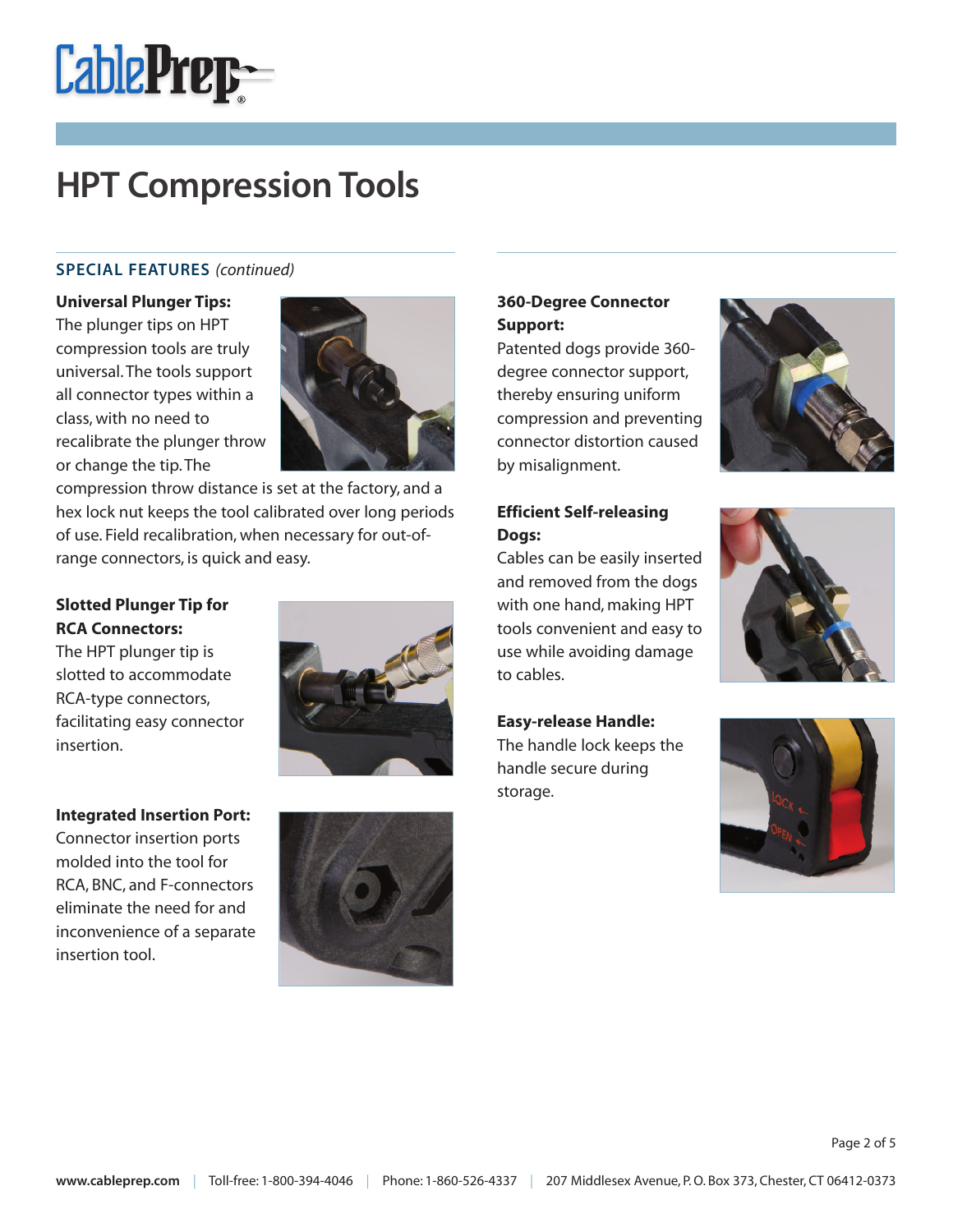

## **SPECIAL FEATURES** (continued)

#### **Universal Plunger Tips:**

The plunger tips on HPT compression tools are truly universal. The tools support all connector types within a class, with no need to recalibrate the plunger throw or change the tip. The



compression throw distance is set at the factory, and a hex lock nut keeps the tool calibrated over long periods of use. Field recalibration, when necessary for out-ofrange connectors, is quick and easy.

## **Slotted Plunger Tip for RCA Connectors:**

The HPT plunger tip is slotted to accommodate RCA-type connectors, facilitating easy connector insertion.

### **Integrated Insertion Port:**

Connector insertion ports molded into the tool for RCA, BNC, and F-connectors eliminate the need for and inconvenience of a separate insertion tool.





## **360-Degree Connector Support:**

Patented dogs provide 360 degree connector support, thereby ensuring uniform compression and preventing connector distortion caused by misalignment.



## **Efficient Self-releasing Dogs:**

Cables can be easily inserted and removed from the dogs with one hand, making HPT tools convenient and easy to use while avoiding damage to cables.



### **Easy-release Handle:**

The handle lock keeps the handle secure during storage.

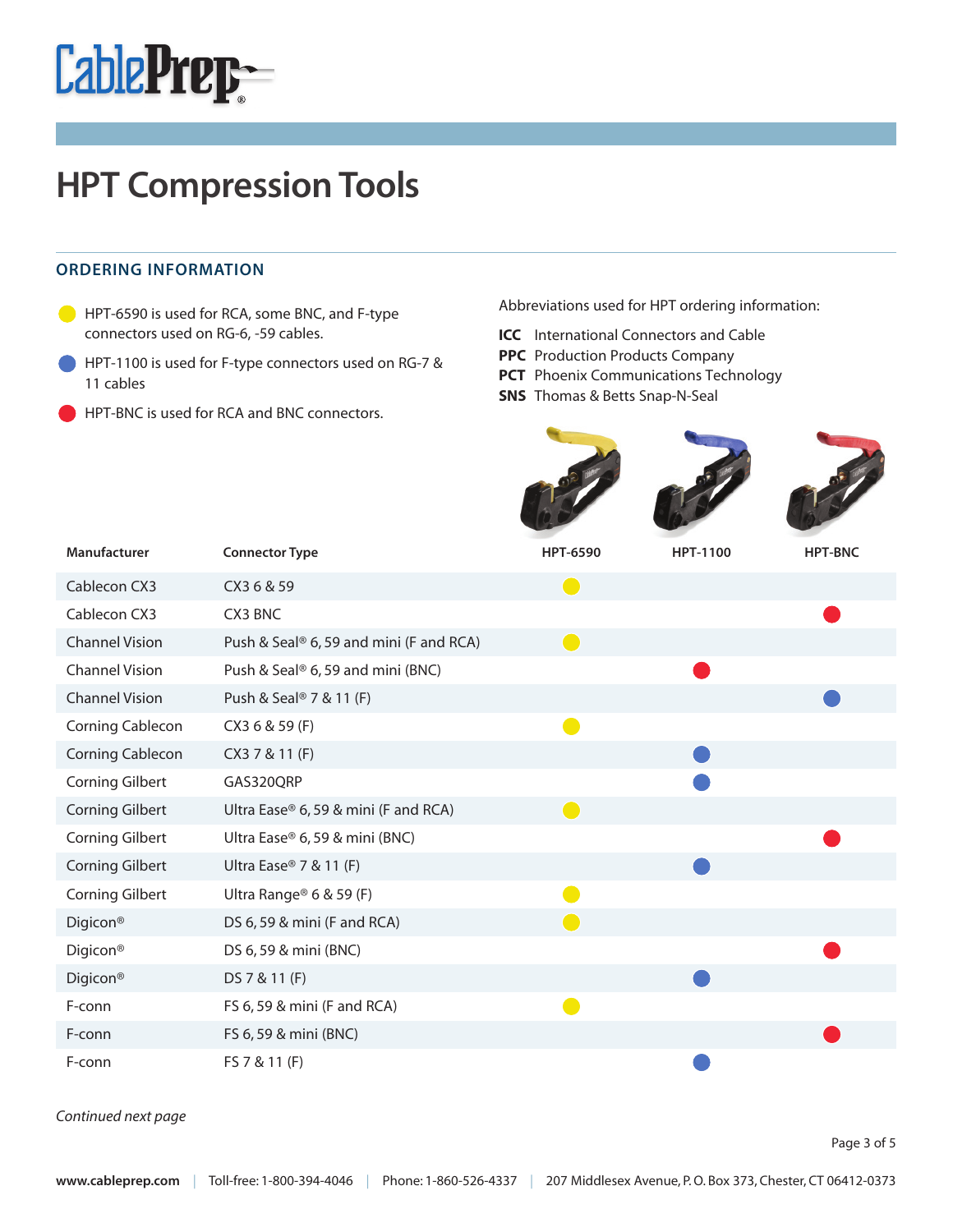

### **ORDERING INFORMATION**

- **C** HPT-6590 is used for RCA, some BNC, and F-type connectors used on RG-6, -59 cables.
- HPT-1100 is used for F-type connectors used on RG-7 & 11 cables
- HPT-BNC is used for RCA and BNC connectors.

Abbreviations used for HPT ordering information:

- **ICC** International Connectors and Cable
- **PPC** Production Products Company
- **PCT** Phoenix Communications Technology

**SNS** Thomas & Betts Snap-N-Seal

| Manufacturer            | <b>Connector Type</b>                               | <b>HPT-6590</b>                               | <b>HPT-1100</b> | <b>HPT-BNC</b> |
|-------------------------|-----------------------------------------------------|-----------------------------------------------|-----------------|----------------|
| Cablecon CX3            | CX3 6 & 59                                          | $\overline{(\ }$                              |                 |                |
| Cablecon CX3            | CX3 BNC                                             |                                               |                 |                |
| <b>Channel Vision</b>   | Push & Seal <sup>®</sup> 6, 59 and mini (F and RCA) | $\left( \begin{array}{c} \end{array} \right)$ |                 |                |
| <b>Channel Vision</b>   | Push & Seal® 6, 59 and mini (BNC)                   |                                               |                 |                |
| <b>Channel Vision</b>   | Push & Seal <sup>®</sup> 7 & 11 (F)                 |                                               |                 |                |
| Corning Cablecon        | CX3 6 & 59 (F)                                      |                                               |                 |                |
| <b>Corning Cablecon</b> | CX3 7 & 11 (F)                                      |                                               |                 |                |
| <b>Corning Gilbert</b>  | GAS320QRP                                           |                                               |                 |                |
| <b>Corning Gilbert</b>  | Ultra Ease® 6, 59 & mini (F and RCA)                | $\overline{\phantom{0}}$                      |                 |                |
| <b>Corning Gilbert</b>  | Ultra Ease® 6, 59 & mini (BNC)                      |                                               |                 |                |
| <b>Corning Gilbert</b>  | Ultra Ease <sup>®</sup> 7 & 11 (F)                  |                                               |                 |                |
| <b>Corning Gilbert</b>  | Ultra Range® 6 & 59 (F)                             |                                               |                 |                |
| Digicon <sup>®</sup>    | DS 6, 59 & mini (F and RCA)                         |                                               |                 |                |
| Digicon <sup>®</sup>    | DS 6, 59 & mini (BNC)                               |                                               |                 |                |
| Digicon <sup>®</sup>    | DS 7 & 11 (F)                                       |                                               |                 |                |
| F-conn                  | FS 6, 59 & mini (F and RCA)                         |                                               |                 |                |
| F-conn                  | FS 6, 59 & mini (BNC)                               |                                               |                 |                |
| F-conn                  | FS 7 & 11 (F)                                       |                                               |                 |                |

Continued next page

Page 3 of 5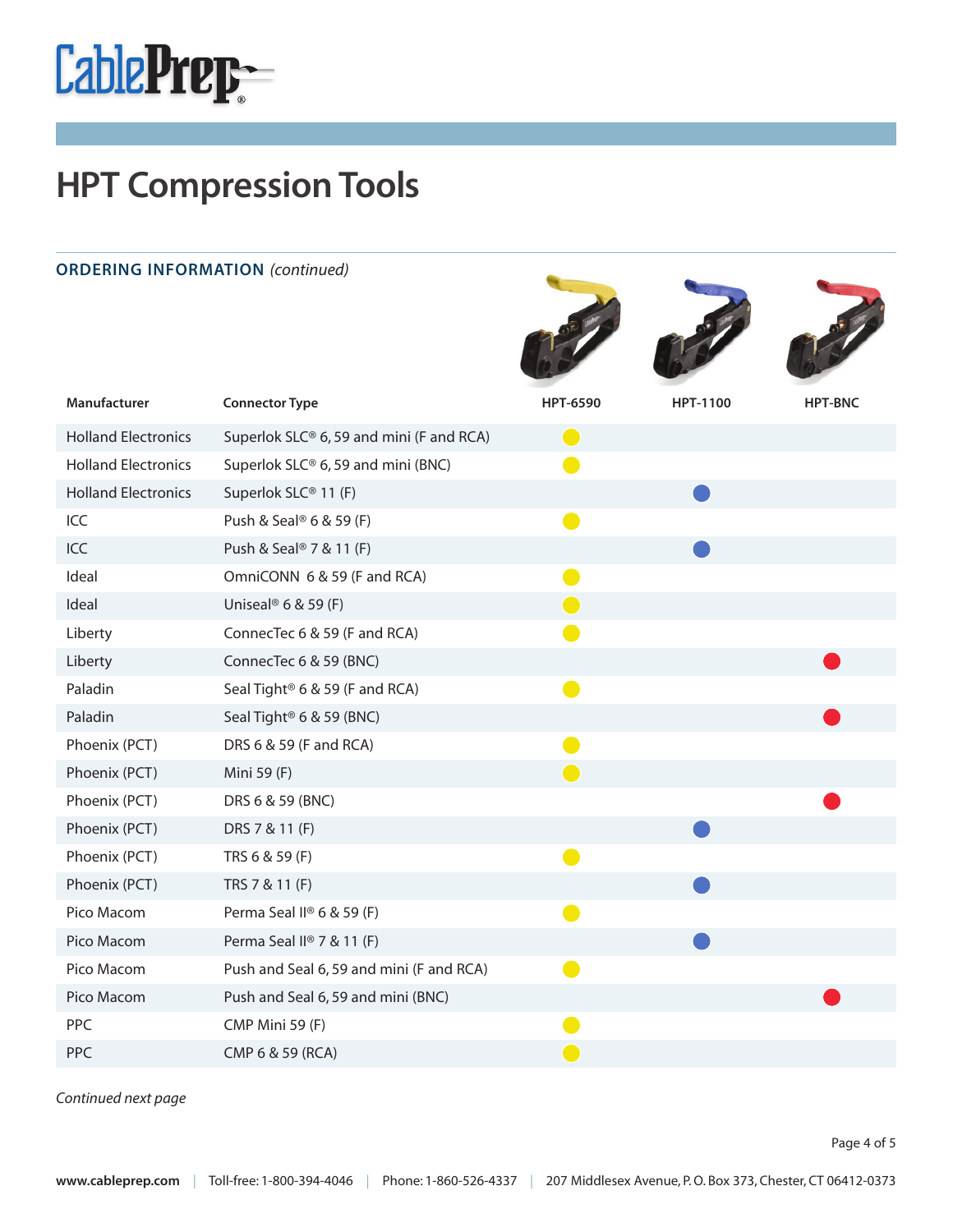

| <b>ORDERING INFORMATION (continued)</b> |                                            |                 |                 |                |
|-----------------------------------------|--------------------------------------------|-----------------|-----------------|----------------|
| Manufacturer                            | <b>Connector Type</b>                      | <b>HPT-6590</b> | <b>HPT-1100</b> | <b>HPT-BNC</b> |
| <b>Holland Electronics</b>              | Superlok SLC® 6, 59 and mini (F and RCA)   | $\bigodot$      |                 |                |
| <b>Holland Electronics</b>              | Superlok SLC® 6, 59 and mini (BNC)         | e i             |                 |                |
| <b>Holland Electronics</b>              | Superlok SLC® 11 (F)                       |                 |                 |                |
| ICC                                     | Push & Seal <sup>®</sup> 6 & 59 (F)        |                 |                 |                |
| ICC                                     | Push & Seal <sup>®</sup> 7 & 11 (F)        |                 |                 |                |
| Ideal                                   | OmniCONN 6 & 59 (F and RCA)                |                 |                 |                |
| Ideal                                   | Uniseal <sup>®</sup> 6 & 59 (F)            | Œ               |                 |                |
| Liberty                                 | ConnecTec 6 & 59 (F and RCA)               |                 |                 |                |
| Liberty                                 | ConnecTec 6 & 59 (BNC)                     |                 |                 |                |
| Paladin                                 | Seal Tight <sup>®</sup> 6 & 59 (F and RCA) |                 |                 |                |
| Paladin                                 | Seal Tight <sup>®</sup> 6 & 59 (BNC)       |                 |                 |                |
| Phoenix (PCT)                           | DRS 6 & 59 (F and RCA)                     |                 |                 |                |
| Phoenix (PCT)                           | Mini 59 (F)                                | $\bigodot$      |                 |                |
| Phoenix (PCT)                           | DRS 6 & 59 (BNC)                           |                 |                 |                |
| Phoenix (PCT)                           | DRS 7 & 11 (F)                             |                 |                 |                |
| Phoenix (PCT)                           | TRS 6 & 59 (F)                             |                 |                 |                |
| Phoenix (PCT)                           | TRS 7 & 11 (F)                             |                 |                 |                |
| Pico Macom                              | Perma Seal II® 6 & 59 (F)                  |                 |                 |                |
| Pico Macom                              | Perma Seal II® 7 & 11 (F)                  |                 |                 |                |
| Pico Macom                              | Push and Seal 6, 59 and mini (F and RCA)   |                 |                 |                |
| Pico Macom                              | Push and Seal 6, 59 and mini (BNC)         |                 |                 |                |
| PPC                                     | CMP Mini 59 (F)                            |                 |                 |                |
| PPC                                     | CMP 6 & 59 (RCA)                           |                 |                 |                |

Continued next page

Page 4 of 5